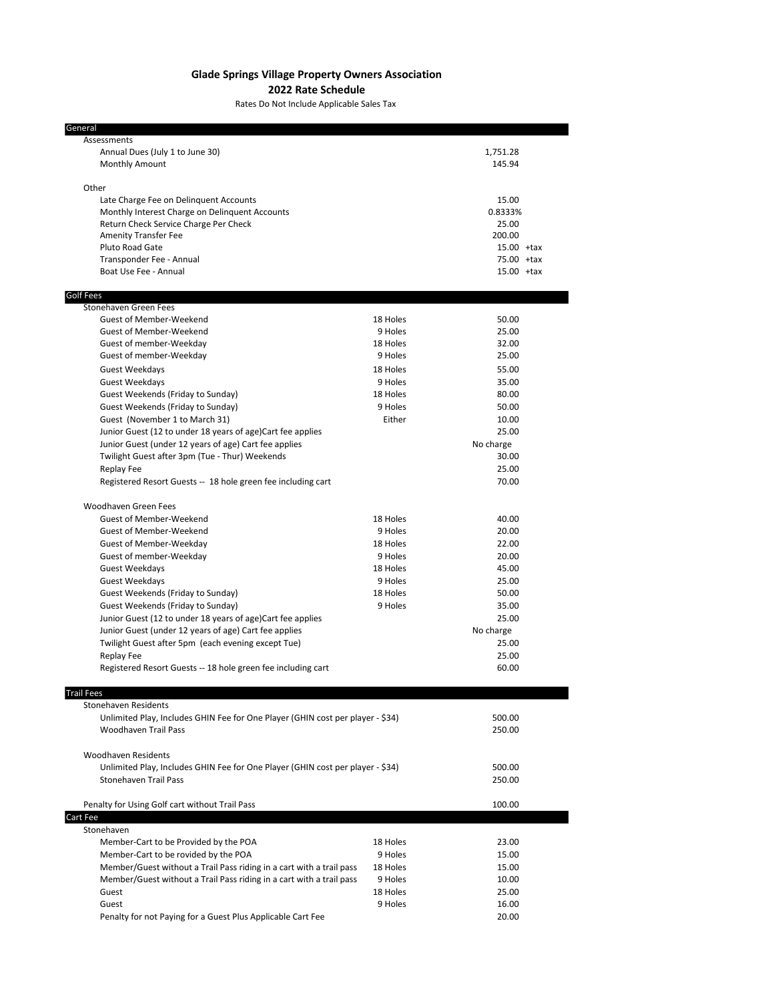## **Glade Springs Village Property Owners Association**

**2022 Rate Schedule**

Rates Do Not Include Applicable Sales Tax

| General                                                                                  |          |                  |  |
|------------------------------------------------------------------------------------------|----------|------------------|--|
| Assessments                                                                              |          |                  |  |
| Annual Dues (July 1 to June 30)                                                          |          | 1,751.28         |  |
| Monthly Amount                                                                           |          | 145.94           |  |
|                                                                                          |          |                  |  |
| Other                                                                                    |          |                  |  |
| Late Charge Fee on Delinquent Accounts<br>Monthly Interest Charge on Delinquent Accounts |          | 15.00<br>0.8333% |  |
| Return Check Service Charge Per Check                                                    |          | 25.00            |  |
| <b>Amenity Transfer Fee</b>                                                              |          | 200.00           |  |
| Pluto Road Gate                                                                          |          | $15.00$ +tax     |  |
| Transponder Fee - Annual                                                                 |          | 75.00 +tax       |  |
| Boat Use Fee - Annual                                                                    |          | $15.00$ +tax     |  |
|                                                                                          |          |                  |  |
| Golf Fees                                                                                |          |                  |  |
| Stonehaven Green Fees<br><b>Guest of Member-Weekend</b>                                  | 18 Holes | 50.00            |  |
| <b>Guest of Member-Weekend</b>                                                           | 9 Holes  | 25.00            |  |
| Guest of member-Weekday                                                                  | 18 Holes | 32.00            |  |
| Guest of member-Weekday                                                                  | 9 Holes  | 25.00            |  |
| Guest Weekdays                                                                           | 18 Holes | 55.00            |  |
| <b>Guest Weekdays</b>                                                                    | 9 Holes  | 35.00            |  |
| Guest Weekends (Friday to Sunday)                                                        | 18 Holes | 80.00            |  |
| Guest Weekends (Friday to Sunday)                                                        | 9 Holes  | 50.00            |  |
| Guest (November 1 to March 31)                                                           | Either   | 10.00            |  |
| Junior Guest (12 to under 18 years of age)Cart fee applies                               |          | 25.00            |  |
| Junior Guest (under 12 years of age) Cart fee applies                                    |          | No charge        |  |
| Twilight Guest after 3pm (Tue - Thur) Weekends                                           |          | 30.00            |  |
| Replay Fee                                                                               |          | 25.00            |  |
| Registered Resort Guests -- 18 hole green fee including cart                             |          | 70.00            |  |
|                                                                                          |          |                  |  |
| Woodhaven Green Fees<br><b>Guest of Member-Weekend</b>                                   | 18 Holes | 40.00            |  |
| <b>Guest of Member-Weekend</b>                                                           | 9 Holes  | 20.00            |  |
| <b>Guest of Member-Weekday</b>                                                           | 18 Holes | 22.00            |  |
| Guest of member-Weekday                                                                  | 9 Holes  | 20.00            |  |
| Guest Weekdays                                                                           | 18 Holes | 45.00            |  |
| Guest Weekdays                                                                           | 9 Holes  | 25.00            |  |
| Guest Weekends (Friday to Sunday)                                                        | 18 Holes | 50.00            |  |
| Guest Weekends (Friday to Sunday)                                                        | 9 Holes  | 35.00            |  |
| Junior Guest (12 to under 18 years of age)Cart fee applies                               |          | 25.00            |  |
| Junior Guest (under 12 years of age) Cart fee applies                                    |          | No charge        |  |
| Twilight Guest after 5pm (each evening except Tue)                                       | 25.00    |                  |  |
| Replay Fee                                                                               |          | 25.00            |  |
| Registered Resort Guests -- 18 hole green fee including cart                             |          | 60.00            |  |
| <b>Trail Fees</b>                                                                        |          |                  |  |
| Stonehaven Residents                                                                     |          |                  |  |
| Unlimited Play, Includes GHIN Fee for One Player (GHIN cost per player - \$34)           |          | 500.00           |  |
| <b>Woodhaven Trail Pass</b>                                                              |          | 250.00           |  |
|                                                                                          |          |                  |  |
| <b>Woodhaven Residents</b>                                                               |          |                  |  |
| Unlimited Play, Includes GHIN Fee for One Player (GHIN cost per player - \$34)           |          | 500.00           |  |
| <b>Stonehaven Trail Pass</b>                                                             |          | 250.00           |  |
| Penalty for Using Golf cart without Trail Pass                                           |          | 100.00           |  |
| Cart Fee<br>Stonehaven                                                                   |          |                  |  |
| Member-Cart to be Provided by the POA                                                    | 18 Holes | 23.00            |  |
| Member-Cart to be rovided by the POA                                                     | 9 Holes  | 15.00            |  |
| Member/Guest without a Trail Pass riding in a cart with a trail pass                     | 18 Holes | 15.00            |  |
| Member/Guest without a Trail Pass riding in a cart with a trail pass                     | 9 Holes  | 10.00            |  |
| Guest                                                                                    | 18 Holes | 25.00            |  |
| Guest                                                                                    | 9 Holes  | 16.00            |  |
| Penalty for not Paying for a Guest Plus Applicable Cart Fee                              |          | 20.00            |  |